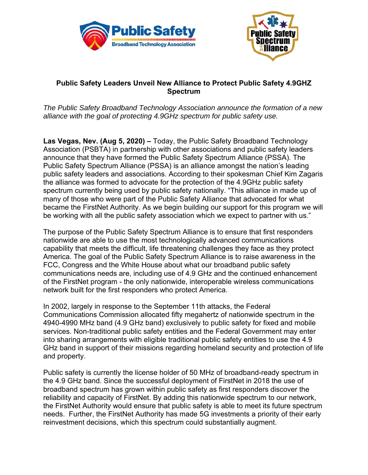



## **Public Safety Leaders Unveil New Alliance to Protect Public Safety 4.9GHZ Spectrum**

*The Public Safety Broadband Technology Association announce the formation of a new alliance with the goal of protecting 4.9GHz spectrum for public safety use.* 

**Las Vegas, Nev. (Aug 5, 2020) –** Today, the Public Safety Broadband Technology Association (PSBTA) in partnership with other associations and public safety leaders announce that they have formed the Public Safety Spectrum Alliance (PSSA). The Public Safety Spectrum Alliance (PSSA) is an alliance amongst the nation's leading public safety leaders and associations. According to their spokesman Chief Kim Zagaris the alliance was formed to advocate for the protection of the 4.9GHz public safety spectrum currently being used by public safety nationally. "This alliance in made up of many of those who were part of the Public Safety Alliance that advocated for what became the FirstNet Authority. As we begin building our support for this program we will be working with all the public safety association which we expect to partner with us."

The purpose of the Public Safety Spectrum Alliance is to ensure that first responders nationwide are able to use the most technologically advanced communications capability that meets the difficult, life threatening challenges they face as they protect America. The goal of the Public Safety Spectrum Alliance is to raise awareness in the FCC, Congress and the White House about what our broadband public safety communications needs are, including use of 4.9 GHz and the continued enhancement of the FirstNet program - the only nationwide, interoperable wireless communications network built for the first responders who protect America.

In 2002, largely in response to the September 11th attacks, the Federal Communications Commission allocated fifty megahertz of nationwide spectrum in the 4940-4990 MHz band (4.9 GHz band) exclusively to public safety for fixed and mobile services. Non-traditional public safety entities and the Federal Government may enter into sharing arrangements with eligible traditional public safety entities to use the 4.9 GHz band in support of their missions regarding homeland security and protection of life and property.

Public safety is currently the license holder of 50 MHz of broadband-ready spectrum in the 4.9 GHz band. Since the successful deployment of FirstNet in 2018 the use of broadband spectrum has grown within public safety as first responders discover the reliability and capacity of FirstNet. By adding this nationwide spectrum to our network, the FirstNet Authority would ensure that public safety is able to meet its future spectrum needs. Further, the FirstNet Authority has made 5G investments a priority of their early reinvestment decisions, which this spectrum could substantially augment.